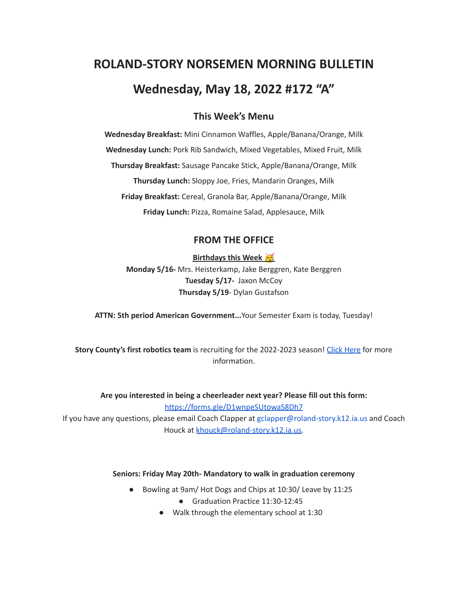# **ROLAND-STORY NORSEMEN MORNING BULLETIN Wednesday, May 18, 2022 #172 "A"**

# **This Week's Menu**

**Wednesday Breakfast:** Mini Cinnamon Waffles, Apple/Banana/Orange, Milk **Wednesday Lunch:** Pork Rib Sandwich, Mixed Vegetables, Mixed Fruit, Milk **Thursday Breakfast:** Sausage Pancake Stick, Apple/Banana/Orange, Milk **Thursday Lunch:** Sloppy Joe, Fries, Mandarin Oranges, Milk **Friday Breakfast:** Cereal, Granola Bar, Apple/Banana/Orange, Milk **Friday Lunch:** Pizza, Romaine Salad, Applesauce, Milk

# **FROM THE OFFICE**

### **Birthdays this Week**

**Monday 5/16-** Mrs. Heisterkamp, Jake Berggren, Kate Berggren **Tuesday 5/17-** Jaxon McCoy **Thursday 5/19**- Dylan Gustafson

**ATTN: 5th period American Government...**Your Semester Exam is today, Tuesday!

**Story County's first robotics team** is recruiting for the 2022-2023 season! Click [Here](https://www.youtube.com/watch?v=DJLEO_voM-8) for more information.

**Are you interested in being a cheerleader next year? Please fill out this form:** <https://forms.gle/D1wnpeSUtowaS8Dh7>

If you have any questions, please email Coach Clapper at gclapper@roland-story.k12.ia.us and Coach Houck at [khouck@roland-story.k12.ia.us.](mailto:khouck@roland-story.k12.ia.us)

#### **Seniors: Friday May 20th- Mandatory to walk in graduation ceremony**

- Bowling at 9am/ Hot Dogs and Chips at 10:30/ Leave by 11:25
	- Graduation Practice 11:30-12:45
	- Walk through the elementary school at 1:30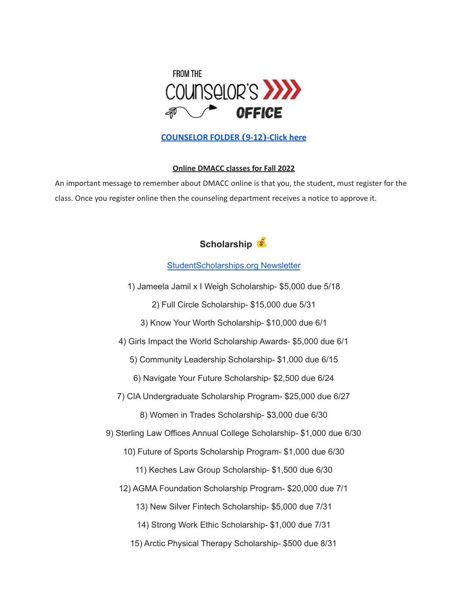

## **[COUNSELOR FOLDER](https://docs.google.com/document/d/1vmwczNPbDzXe9vFaG5LJMQ7NYDv-i4oQJHybqA65TUc/edit?usp=sharing) (9-12)-Click here**

## **Online DMACC classes for Fall 2022**

An important message to remember about DMACC online is that you, the student, must register for the class. Once you register online then the counseling department receives a notice to approve it.



[StudentScholarships.org](https://drive.google.com/file/d/1qEKcx3GVK6vi8DB_QD_Px65Do1Dedcz6/view?usp=sharing) Newsletter

1) Jameela Jamil x I Weigh Scholarship- \$5,000 due 5/18

2) Full Circle Scholarship- \$15,000 due 5/31

- 3) Know Your Worth Scholarship- \$10,000 due 6/1
- 4) Girls Impact the World Scholarship Awards- \$5,000 due 6/1

5) Community Leadership Scholarship- \$1,000 due 6/15

- 6) Navigate Your Future Scholarship- \$2,500 due 6/24
- 7) CIA Undergraduate Scholarship Program- \$25,000 due 6/27
	- 8) Women in Trades Scholarship- \$3,000 due 6/30
- 9) Sterling Law Offices Annual College Scholarship- \$1,000 due 6/30
	- 10) Future of Sports Scholarship Program- \$1,000 due 6/30
		- 11) Keches Law Group Scholarship- \$1,500 due 6/30
	- 12) AGMA Foundation Scholarship Program- \$20,000 due 7/1
		- 13) New Silver Fintech Scholarship- \$5,000 due 7/31
		- 14) Strong Work Ethic Scholarship- \$1,000 due 7/31
		- 15) Arctic Physical Therapy Scholarship- \$500 due 8/31